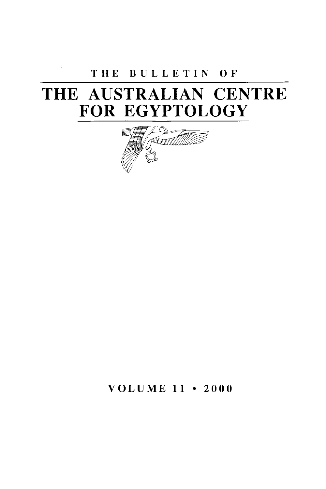# **T H E BULLETI N O F**

# **THE AUSTRALIAN CENTRE FOR EGYPTOLOGY**



**VOLUM E 11 • 200 0**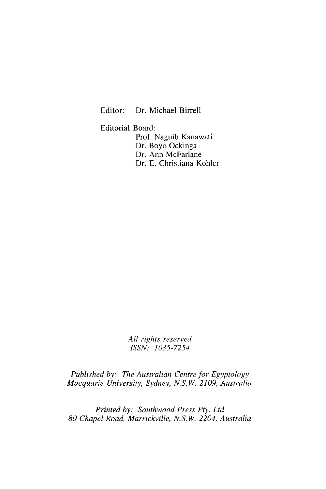Editor: Dr. Michael Birrell

Editorial Board: Prof. Naguib Kanawati Dr. Boyo Ockinga Dr. Ann McFarlane Dr. E. Christiana Köhler

> *All rights reserved ISSN: 1035-7254*

*Published by: The Australian Centre for Egyptology Macquarie University, Sydney, N.S.W. 2109, Australia* 

*Printed by: Southwood Press Pty. Ltd 80 Chapel Road, Marrickville, N.S.W. 2204, Australia*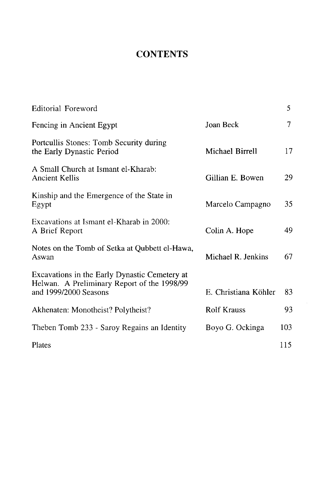# **CONTENTS**

| Editorial Foreword                                                                                                    |                      | 5   |
|-----------------------------------------------------------------------------------------------------------------------|----------------------|-----|
| Fencing in Ancient Egypt                                                                                              | Joan Beck            | 7   |
| Portcullis Stones: Tomb Security during<br>the Early Dynastic Period                                                  | Michael Birrell      | 17  |
| A Small Church at Ismant el-Kharab:<br>Ancient Kellis                                                                 | Gillian E. Bowen     | 29  |
| Kinship and the Emergence of the State in<br>Egypt                                                                    | Marcelo Campagno     | 35  |
| Excavations at Ismant el-Kharab in 2000:<br>A Brief Report                                                            | Colin A. Hope        | 49  |
| Notes on the Tomb of Setka at Qubbett el-Hawa,<br>Aswan                                                               | Michael R. Jenkins   | 67  |
| Excavations in the Early Dynastic Cemetery at<br>Helwan. A Preliminary Report of the 1998/99<br>and 1999/2000 Seasons | E. Christiana Köhler | 83  |
| Akhenaten: Monotheist? Polytheist?                                                                                    | <b>Rolf Krauss</b>   | 93  |
| Theben Tomb 233 - Saroy Regains an Identity                                                                           | Boyo G. Ockinga      | 103 |
| Plates                                                                                                                |                      | 115 |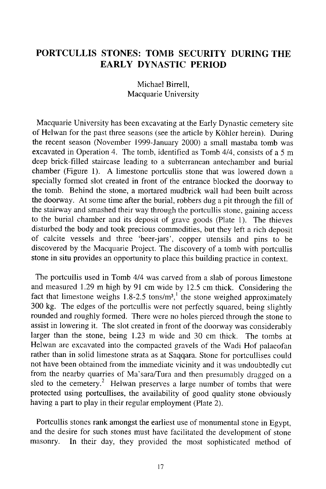# **PORTCULLIS STONES: TOMB SECURITY DURING THE EARLY DYNASTIC PERIOD**

Michael Birrell, Macquarie University

Macquarie University has been excavating at the Early Dynastic cemetery site of Helwan for the past three seasons (see the article by Kohler herein). During the recent season (November 1999-January 2000) a small mastaba tomb was excavated in Operation 4. The tomb, identified as Tomb 4/4, consists of a 5 m deep brick-filled staircase leading to a subterranean antechamber and burial chamber (Figure 1). A limestone portcullis stone that was lowered down a specially formed slot created in front of the entrance blocked the doorway to the tomb. Behind the stone, a mortared mudbrick wall had been built across the doorway. At some time after the burial, robbers dug a pit through the fill of the stairway and smashed their way through the portcullis stone, gaining access to the burial chamber and its deposit of grave goods (Plate 1). The thieves disturbed the body and took precious commodities, but they left a rich deposit of calcite vessels and three 'beer-jars', copper utensils and pins to be discovered by the Macquarie Project. The discovery of a tomb with portcullis stone in situ provides an opportunity to place this building practice in context.

The portcullis used in Tomb 4/4 was carved from a slab of porous limestone and measured 1.29 m high by 91 cm wide by 12.5 cm thick. Considering the fact that limestone weighs 1.8-2.5 tons/m<sup>3</sup>, the stone weighed approximately 300 kg. The edges of the portcullis were not perfectly squared, being slightly rounded and roughly formed. There were no holes pierced through the stone to assist in lowering it. The slot created in front of the doorway was considerably larger than the stone, being 1.23 m wide and 30 cm thick. The tombs at Helwan are excavated into the compacted gravels of the Wadi Hof palaeofan rather than in solid limestone strata as at Saqqara. Stone for portcullises could not have been obtained from the immediate vicinity and it was undoubtedly cut from the nearby quarries of Ma'sara/Tura and then presumably dragged on a sled to the cemetery.<sup>2</sup> Helwan preserves a large number of tombs that were protected using portcullises, the availability of good quality stone obviously having a part to play in their regular employment (Plate 2).

Portcullis stones rank amongst the earliest use of monumental stone in Egypt, and the desire for such stones must have facilitated the development of stone masonry. In their day, they provided the most sophisticated method of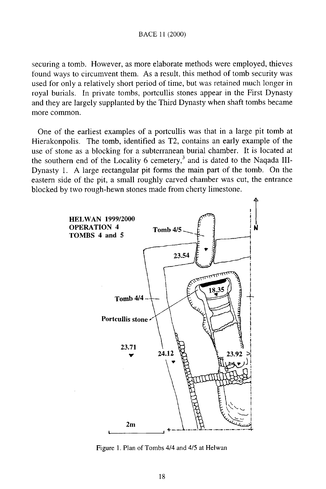securing a tomb. However, as more elaborate methods were employed, thieves found ways to circumvent them. As a result, this method of tomb security was used for only a relatively short period of time, but was retained much longer in royal burials. In private tombs, portcullis stones appear in the First Dynasty and they are largely supplanted by the Third Dynasty when shaft tombs became more common.

One of the earliest examples of a portcullis was that in a large pit tomb at Hierakonpolis. The tomb, identified as T2, contains an early example of the use of stone as a blocking for a subterranean burial chamber. It is located at the southern end of the Locality 6 cemetery,<sup>3</sup> and is dated to the Naqada III-Dynasty 1. A large rectangular pit forms the main part of the tomb. On the eastern side of the pit, a small roughly carved chamber was cut, the entrance blocked by two rough-hewn stones made from cherty limestone.



Figure 1. Plan of Tombs 4/4 and 4/5 at Helwan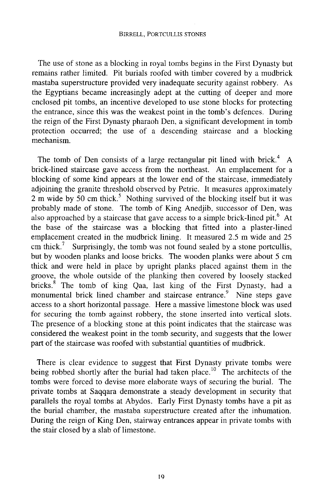#### BIRRELL, PORTCULLIS STONES

The use of stone as a blocking in royal tombs begins in the First Dynasty but remains rather limited. Pit burials roofed with timber covered by a mudbrick mastaba superstructure provided very inadequate security against robbery. As the Egyptians became increasingly adept at the cutting of deeper and more enclosed pit tombs, an incentive developed to use stone blocks for protecting the entrance, since this was the weakest point in the tomb's defences. During the reign of the First Dynasty pharaoh Den, a significant development in tomb protection occurred; the use of a descending staircase and a blocking mechanism.

The tomb of Den consists of a large rectangular pit lined with brick.<sup>4</sup> A brick-lined staircase gave access from the northeast. An emplacement for a blocking of some kind appears at the lower end of the staircase, immediately adjoining the granite threshold observed by Petrie. It measures approximately 2 m wide by 50 cm thick.<sup>3</sup> Nothing survived of the blocking itself but it was probably made of stone. The tomb of King Anedjib, successor of Den, was also approached by a staircase that gave access to a simple brick-lined pit.  $6$  At the base of the staircase was a blocking that fitted into a plaster-lined emplacement created in the mudbrick lining. It measured 2.5 m wide and 25 cm thick.<sup>7</sup> Surprisingly, the tomb was not found sealed by a stone portcullis, but by wooden planks and loose bricks. The wooden planks were about 5 cm thick and were held in place by upright planks placed against them in the groove, the whole outside of the planking then covered by loosely stacked bricks<sup>8</sup> The tomb of king Qaa, last king of the First Dynasty, had a monumental brick lined chamber and staircase entrance. Nine steps gave access to a short horizontal passage. Here a massive limestone block was used for securing the tomb against robbery, the stone inserted into vertical slots. The presence of a blocking stone at this point indicates that the staircase was considered the weakest point in the tomb security, and suggests that the lower part of the staircase was roofed with substantial quantities of mudbrick.

There is clear evidence to suggest that First Dynasty private tombs were being robbed shortly after the burial had taken place.<sup>10</sup> The architects of the tombs were forced to devise more elaborate ways of securing the burial. The private tombs at Saqqara demonstrate a steady development in security that parallels the royal tombs at Abydos. Early First Dynasty tombs have a pit as the burial chamber, the mastaba superstructure created after the inhumation. During the reign of King Den, stairway entrances appear in private tombs with the stair closed by a slab of limestone.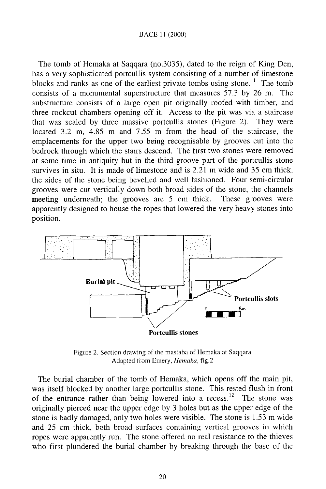## BACE 11 (2000)

The tomb of Hemaka at Saqqara (no.3035), dated to the reign of King Den, has a very sophisticated portcullis system consisting of a number of limestone blocks and ranks as one of the earliest private tombs using stone.<sup>11</sup> The tomb consists of a monumental superstructure that measures 57.3 by 26 m. The substructure consists of a large open pit originally roofed with timber, and three rockcut chambers opening off it. Access to the pit was via a staircase that was sealed by three massive portcullis stones (Figure 2). They were located 3.2 m, 4.85 m and 7.55 m from the head of the staircase, the emplacements for the upper two being recognisable by grooves cut into the bedrock through which the stairs descend. The first two stones were removed at some time in antiquity but in the third groove part of the portcullis stone survives in situ. It is made of limestone and is 2.21 m wide and 35 cm thick, the sides of the stone being bevelled and well fashioned. Four semi-circular grooves were cut vertically down both broad sides of the stone, the channels meeting underneath; the grooves are 5 cm thick. These grooves were apparently designed to house the ropes that lowered the very heavy stones into position.



Figure 2. Section drawing of the mastaba of Hemaka at Saqqara Adapted from Emery, *Hemaka,* fig.2

The burial chamber of the tomb of Hemaka, which opens off the main pit, was itself blocked by another large portcullis stone. This rested flush in front of the entrance rather than being lowered into a recess.<sup>12</sup> The stone was originally pierced near the upper edge by 3 holes but as the upper edge of the stone is badly damaged, only two holes were visible. The stone is 1.53 m wide and 25 cm thick, both broad surfaces containing vertical grooves in which ropes were apparently run. The stone offered no real resistance to the thieves who first plundered the burial chamber by breaking through the base of the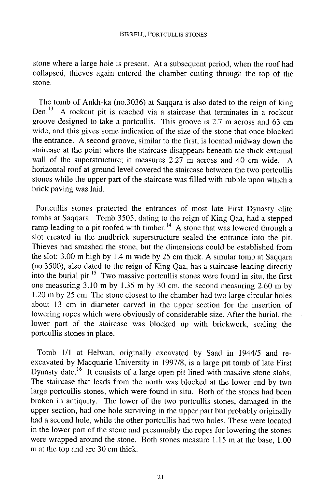stone where a large hole is present. At a subsequent period, when the roof had collapsed, thieves again entered the chamber cutting through the top of the stone.

The tomb of Ankh-ka (no.3036) at Saqqara is also dated to the reign of king Den.<sup>13</sup> A rockcut pit is reached via a staircase that terminates in a rockcut groove designed to take a portcullis. This groove is 2.7 m across and 63 cm wide, and this gives some indication of the size of the stone that once blocked the entrance. A second groove, similar to the first, is located midway down the staircase at the point where the staircase disappears beneath the thick external wall of the superstructure; it measures 2.27 m across and 40 cm wide. A horizontal roof at ground level covered the staircase between the two portcullis stones while the upper part of the staircase was filled with rubble upon which a brick paving was laid.

Portcullis stones protected the entrances of most late First Dynasty elite tombs at Saqqara. Tomb 3505, dating to the reign of King Qaa, had a stepped ramp leading to a pit roofed with timber.<sup>14</sup> A stone that was lowered through a slot created in the mudbrick superstructure sealed the entrance into the pit. Thieves had smashed the stone, but the dimensions could be established from the slot: 3.00 m high by 1.4 m wide by 25 cm thick. A similar tomb at Saqqara (no.3500), also dated to the reign of King Qaa, has a staircase leading directly into the burial pit.<sup>15</sup> Two massive portcullis stones were found in situ, the first one measuring 3.10 m by 1.35 m by 30 cm, the second measuring 2.60 m by 1.20 m by 25 cm. The stone closest to the chamber had two large circular holes about 13 cm in diameter carved in the upper section for the insertion of lowering ropes which were obviously of considerable size. After the burial, the lower part of the staircase was blocked up with brickwork, sealing the portcullis stones in place.

Tomb 1/1 at Helwan, originally excavated by Saad in 1944/5 and reexcavated by Macquarie University in 1997/8, is a large pit tomb of late First Dynasty date.<sup>1</sup> It consists of a large open pit lined with massive stone slabs. The staircase that leads from the north was blocked at the lower end by two large portcullis stones, which were found in situ. Both of the stones had been broken in antiquity. The lower of the two portcullis stones, damaged in the upper section, had one hole surviving in the upper part but probably originally had a second hole, while the other portcullis had two holes. These were located in the lower part of the stone and presumably the ropes for lowering the stones were wrapped around the stone. Both stones measure 1.15 m at the base, 1.00 m at the top and are 30 cm thick.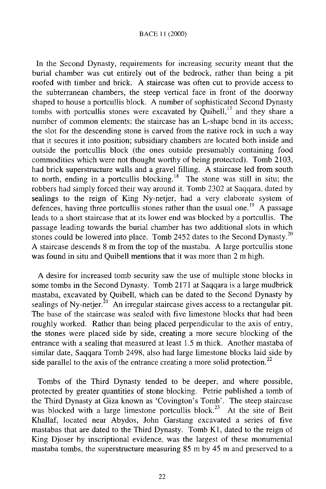## BACE 11 (2000)

In the Second Dynasty, requirements for increasing security meant that the burial chamber was cut entirely out of the bedrock, rather than being a pit roofed with timber and brick. A staircase was often cut to provide access to the subterranean chambers, the steep vertical face in front of the doorway shaped to house a portcullis block. A number of sophisticated Second Dynasty tombs with portcullis stones were excavated by Quibell,  $\mu$  and they share a number of common elements: the staircase has an L-shape bend in its access; the slot for the descending stone is carved from the native rock in such a way that it secures it into position; subsidiary chambers are located both inside and outside the portcullis block (the ones outside presumably containing food commodities which were not thought worthy of being protected). Tomb 2103, had brick superstructure walls and a gravel filling. A staircase led from south to north, ending in a portcullis blocking.<sup>18</sup> The stone was still in situ; the robbers had simply forced their way around it. Tomb 2302 at Saqqara, dated by sealings to the reign of King Ny-netjer, had a very elaborate system of defences, having three portcullis stones rather than the usual one.<sup>19</sup> A passage leads to a short staircase that at its lower end was blocked by a portcullis. The passage leading towards the burial chamber has two additional slots in which stones could be lowered into place. Tomb 2452 dates to the Second Dynasty.<sup>20</sup> A staircase descends 8 m from the top of the mastaba. A large portcullis stone was found in situ and Quibell mentions that it was more than 2 m high.

A desire for increased tomb security saw the use of multiple stone blocks in some tombs in the Second Dynasty. Tomb 2171 at Saqqara is a large mudbrick mastaba, excavated by Quibell, which can be dated to the Second Dynasty by sealings of Ny-netjer.<sup>21</sup> An irregular staircase gives access to a rectangular pit. The base of the staircase was sealed with five limestone blocks that had been roughly worked. Rather than being placed perpendicular to the axis of entry, the stones were placed side by side, creating a more secure blocking of the entrance with a sealing that measured at least 1.5 m thick. Another mastaba of similar date, Saqqara Tomb 2498, also had large limestone blocks laid side by side parallel to the axis of the entrance creating a more solid protection.<sup>22</sup>

Tombs of the Third Dynasty tended to be deeper, and where possible, protected by greater quantities of stone blocking. Petrie published a tomb of the Third Dynasty at Giza known as 'Covington's Tomb'. The steep staircase was blocked with a large limestone portcullis block.<sup>23</sup> At the site of Beit Khallaf, located near Abydos, John Garstang excavated a series of five mastabas that are dated to the Third Dynasty. Tomb Kl, dated to the reign of King Djoser by inscriptional evidence, was the largest of these monumental mastaba tombs, the superstructure measuring 85 m by 45 m and preserved to a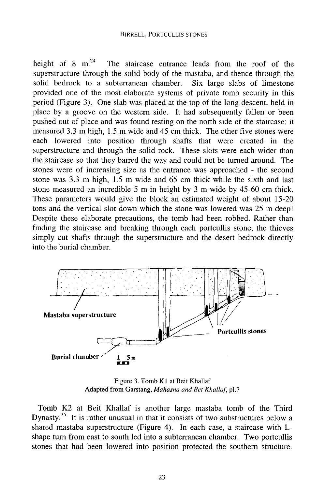height of 8 m. $^{24}$  The staircase entrance leads from the roof of the superstructure through the solid body of the mastaba, and thence through the solid bedrock to a subterranean chamber. Six large slabs of limestone provided one of the most elaborate systems of private tomb security in this period (Figure 3). One slab was placed at the top of the long descent, held in place by a groove on the western side. It had subsequently fallen or been pushed out of place and was found resting on the north side of the staircase; it measured 3.3 m high, 1.5 m wide and 45 cm thick. The other five stones were each lowered into position through shafts that were created in the superstructure and through the solid rock. These slots were each wider than the staircase so that they barred the way and could not be turned around. The stones were of increasing size as the entrance was approached - the second stone was 3.3 m high, 1.5 m wide and 65 cm thick while the sixth and last stone measured an incredible 5 m in height by 3 m wide by 45-60 cm thick. These parameters would give the block an estimated weight of about 15-20 tons and the vertical slot down which the stone was lowered was 25 m deep! Despite these elaborate precautions, the tomb had been robbed. Rather than finding the staircase and breaking through each portcullis stone, the thieves simply cut shafts through the superstructure and the desert bedrock directly into the burial chamber.



Figure 3. Tomb Kl at Beit Khallaf Adapted from Garstang, *Mahasna and Bet Khallaf,* pi.7

Tomb K2 at Beit Khallaf is another large mastaba tomb of the Third Dynasty.<sup>23</sup> It is rather unusual in that it consists of two substructures below a shared mastaba superstructure (Figure 4). In each case, a staircase with Lshape turn from east to south led into a subterranean chamber. Two portcullis stones that had been lowered into position protected the southern structure.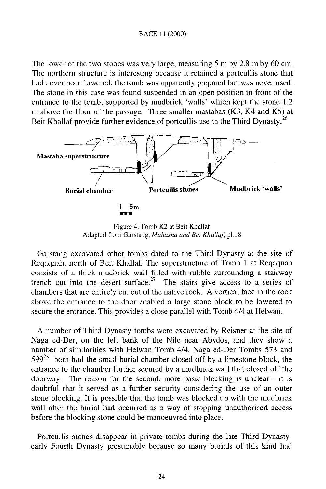The lower of the two stones was very large, measuring 5 m by 2.8 m by 60 cm. The northern structure is interesting because it retained a portcullis stone that had never been lowered; the tomb was apparently prepared but was never used. The stone in this case was found suspended in an open position in front of the entrance to the tomb, supported by mudbrick 'walls' which kept the stone 1.2 m above the floor of the passage. Three smaller mastabas (K3, K4 and K5) at Beit Khallaf provide further evidence of portcullis use in the Third Dynasty.<sup>26</sup>



Figure 4. Tomb K2 at Beit Khallaf Adapted from Garstang, *Mahasna and Bet Khallaf,* pi. 18

Garstang excavated other tombs dated to the Third Dynasty at the site of Reqaqnah, north of Beit Khallaf. The superstructure of Tomb 1 at Reqaqnah consists of a thick mudbrick wall filled with rubble surrounding a stairway trench cut into the desert surface.<sup> $2$ </sup> The stairs give access to a series of chambers that are entirely cut out of the native rock. A vertical face in the rock above the entrance to the door enabled a large stone block to be lowered to secure the entrance. This provides a close parallel with Tomb 4/4 at Helwan.

A number of Third Dynasty tombs were excavated by Reisner at the site of Naga ed-Der, on the left bank of the Nile near Abydos, and they show a number of similarities with Helwan Tomb 4/4. Naga ed-Der Tombs 573 and  $599<sup>28</sup>$  both had the small burial chamber closed off by a limestone block, the entrance to the chamber further secured by a mudbrick wall that closed off the doorway. The reason for the second, more basic blocking is unclear - it is doubtful that it served as a further security considering the use of an outer stone blocking. It is possible that the tomb was blocked up with the mudbrick wall after the burial had occurred as a way of stopping unauthorised access before the blocking stone could be manoeuvred into place.

Portcullis stones disappear in private tombs during the late Third Dynastyearly Fourth Dynasty presumably because so many burials of this kind had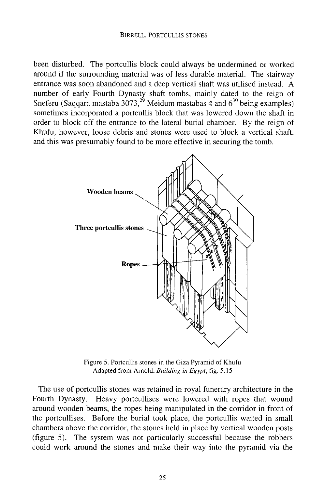### **BIRRELL, PORTCULLIS STONES**

been disturbed. The portcullis block could always be undermined or worked around if the surrounding material was of less durable material. The stairway entrance was soon abandoned and a deep vertical shaft was utilised instead. A number of early Fourth Dynasty shaft tombs, mainly dated to the reign of Sneferu (Saqqara mastaba 3073, <sup>29</sup> Meidum mastabas 4 and  $6^{30}$  being examples) sometimes incorporated a portcullis block that was lowered down the shaft in order to block off the entrance to the lateral burial chamber. By the reign of Khufu, however, loose debris and stones were used to block a vertical shaft, and this was presumably found to be more effective in securing the tomb.



Figure 5. Portcullis stones in the Giza Pyramid of Khufu Adapted from Arnold, *Building in Egypt,* fig. 5.15

The use of portcullis stones was retained in royal funerary architecture in the Fourth Dynasty. Heavy portcullises were lowered with ropes that wound around wooden beams, the ropes being manipulated in the corridor in front of the portcullises. Before the burial took place, the portcullis waited in small chambers above the corridor, the stones held in place by vertical wooden posts (figure 5). The system was not particularly successful because the robbers could work around the stones and make their way into the pyramid via the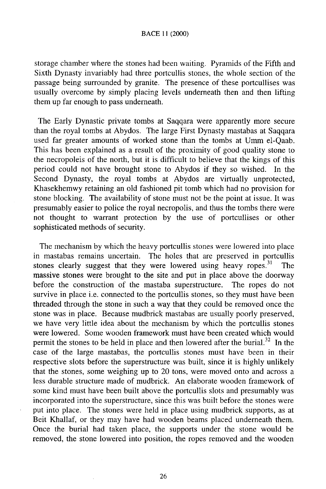## BACE 11 (2000)

storage chamber where the stones had been waiting. Pyramids of the Fifth and Sixth Dynasty invariably had three portcullis stones, the whole section of the passage being surrounded by granite. The presence of these portcullises was usually overcome by simply placing levels underneath then and then lifting them up far enough to pass underneath.

The Early Dynastic private tombs at Saqqara were apparently more secure than the royal tombs at Abydos. The large First Dynasty mastabas at Saqqara used far greater amounts of worked stone than the tombs at Umm el-Qaab. This has been explained as a result of the proximity of good quality stone to the necropoleis of the north, but it is difficult to believe that the kings of this period could not have brought stone to Abydos if they so wished. In the Second Dynasty, the royal tombs at Abydos are virtually unprotected, Khasekhemwy retaining an old fashioned pit tomb which had no provision for stone blocking. The availability of stone must not be the point at issue. It was presumably easier to police the royal necropolis, and thus the tombs there were not thought to warrant protection by the use of portcullises or other sophisticated methods of security.

The mechanism by which the heavy portcullis stones were lowered into place in mastabas remains uncertain. The holes that are preserved in portcullis stones clearly suggest that they were lowered using heavy ropes.<sup>31</sup> The massive stones were brought to the site and put in place above the doorway before the construction of the mastaba superstructure. The ropes do not survive in place i.e. connected to the portcullis stones, so they must have been threaded through the stone in such a way that they could be removed once the stone was in place. Because mudbrick mastabas are usually poorly preserved, we have very little idea about the mechanism by which the portcullis stones were lowered. Some wooden framework must have been created which would permit the stones to be held in place and then lowered after the burial.<sup>32</sup> In the case of the large mastabas, the portcullis stones must have been in their respective slots before the superstructure was built, since it is highly unlikely that the stones, some weighing up to 20 tons, were moved onto and across a less durable structure made of mudbrick. An elaborate wooden framework of some kind must have been built above the portcullis slots and presumably was incorporated into the superstructure, since this was built before the stones were put into place. The stones were held in place using mudbrick supports, as at Beit Khallaf, or they may have had wooden beams placed underneath them. Once the burial had taken place, the supports under the stone would be removed, the stone lowered into position, the ropes removed and the wooden

26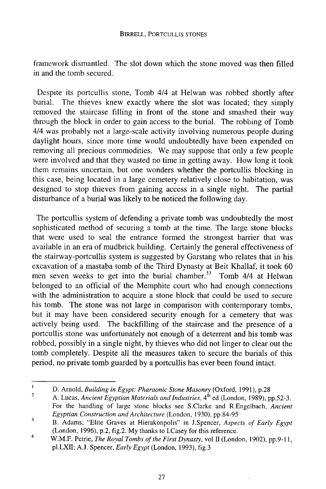framework dismantled. The slot down which the stone moved was then filled in and the tomb secured.

Despite its portcullis stone, Tomb 4/4 at Helwan was robbed shortly after burial. The thieves knew exactly where the slot was located; they simply removed the staircase filling in front of the stone and smashed their way through the block in order to gain access to the burial. The robbing of Tomb 4/4 was probably not a large-scale activity involving numerous people during daylight hours, since more time would undoubtedly have been expended on removing all precious commodities. We may suppose that only a few people were involved and that they wasted no time in getting away. How long it took them remains uncertain, but one wonders whether the portcullis blocking in this case, being located in a large cemetery relatively close to habitation, was designed to stop thieves from gaining access in a single night. The partial disturbance of a burial was likely to be noticed the following day.

The portcullis system of defending a private tomb was undoubtedly the most sophisticated method of securing a tomb at the time. The large stone blocks that were used to seal the entrance formed the strongest barrier that was available in an era of mudbrick building. Certainly the general effectiveness of the stairway-portcullis system is suggested by Garstang who relates that in his excavation of a mastaba tomb of the Third Dynasty at Beit Khallaf, it took 60 men seven weeks to get into the burial chamber.<sup>33</sup> Tomb 4/4 at Helwan belonged to an official of the Memphite court who had enough connections with the administration to acquire a stone block that could be used to secure his tomb. The stone was not large in comparison with contemporary tombs, but it may have been considered security enough for a cemetery that was actively being used. The backfilling of the staircase and the presence of a portcullis stone was unfortunately not enough of a deterrent and his tomb was robbed, possibly in a single night, by thieves who did not linger to clear out the tomb completely. Despite all the measures taken to secure the burials of this period, no private tomb guarded by a portcullis has ever been found intact.

 $\mathbf{I}$ D. Arnold, *Building in Egypt: Pharaonic Stone Masonry* (Oxford, 1991), p.28  $\overline{2}$ 

A. Lucas, *Ancient Egyptian Materials and Industries*, 4<sup>*\\timerarely* (London, 1989), pp.52-3.</sup> For the handling of large stone blocks see S.Clarke and R.Engelbach, *Ancient Egyptian Construction and Architecture* (London, 1930), pp.84-95

 $\overline{\mathbf{3}}$ B. Adams, "Elite Graves at Hierakonpolis" in J.Spencer, *Aspects of Early Egypt*  (London, 1996), p.2, fig.2. My thanks to I.Casey for this reference.

 $\overline{4}$ W.M.F. Petrie, *The Royal Tombs of the First Dynasty*, vol II (London, 1902), pp.9-11, pl.LXn; A J. Spencer, *Early Egypt* (London, 1993), fig.3